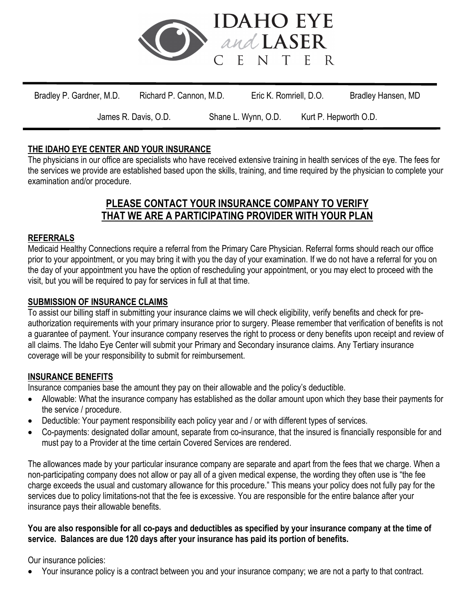

## **THE IDAHO EYE CENTER AND YOUR INSURANCE**

The physicians in our office are specialists who have received extensive training in health services of the eye. The fees for the services we provide are established based upon the skills, training, and time required by the physician to complete your examination and/or procedure.

# **PLEASE CONTACT YOUR INSURANCE COMPANY TO VERIFY THAT WE ARE A PARTICIPATING PROVIDER WITH YOUR PLAN**

## **REFERRALS**

Medicaid Healthy Connections require a referral from the Primary Care Physician. Referral forms should reach our office prior to your appointment, or you may bring it with you the day of your examination. If we do not have a referral for you on the day of your appointment you have the option of rescheduling your appointment, or you may elect to proceed with the visit, but you will be required to pay for services in full at that time.

## **SUBMISSION OF INSURANCE CLAIMS**

To assist our billing staff in submitting your insurance claims we will check eligibility, verify benefits and check for preauthorization requirements with your primary insurance prior to surgery. Please remember that verification of benefits is not a guarantee of payment. Your insurance company reserves the right to process or deny benefits upon receipt and review of all claims. The Idaho Eye Center will submit your Primary and Secondary insurance claims. Any Tertiary insurance coverage will be your responsibility to submit for reimbursement.

### **INSURANCE BENEFITS**

Insurance companies base the amount they pay on their allowable and the policy's deductible.

- Allowable: What the insurance company has established as the dollar amount upon which they base their payments for the service / procedure.
- Deductible: Your payment responsibility each policy year and / or with different types of services.
- Co-payments: designated dollar amount, separate from co-insurance, that the insured is financially responsible for and must pay to a Provider at the time certain Covered Services are rendered.

The allowances made by your particular insurance company are separate and apart from the fees that we charge. When a non-participating company does not allow or pay all of a given medical expense, the wording they often use is "the fee charge exceeds the usual and customary allowance for this procedure." This means your policy does not fully pay for the services due to policy limitations-not that the fee is excessive. You are responsible for the entire balance after your insurance pays their allowable benefits.

#### **You are also responsible for all co-pays and deductibles as specified by your insurance company at the time of service. Balances are due 120 days after your insurance has paid its portion of benefits.**

Our insurance policies:

• Your insurance policy is a contract between you and your insurance company; we are not a party to that contract.